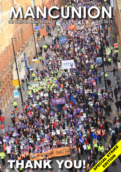# **THE UNISON NEWSLETTER MANCUNION DEC 2011**

THANK YOU! Second

**EDITOR**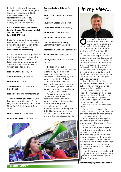In the first instance, if you have a work problem or query then get in touch with your local UNISON steward or workplace representative. Otherwise, telephone the Branch Office directly on the number below.

### **UNISON Manchester, Sixth Floor, Sunlight House, Manchester M3 3JZ Tel: 0161 254 7500 Fax: 0161 274 7365**

If you have a membership query, please contact the Branch on the number above or you can email the Branch via the website at: **www.unisonmanchester.org**

UNISON Manchester is organised by the Branch Executive Committee and is supported by skilled staff locally, regionally and nationally. The UNISON Manchester Branch Officers are listed below.

**Branch Chair:** Noel Bayley

**Vice Chair:** Eddy Redmond

**President:** Mo Baines

**Vice Presidents:** Rodney Lund & Kate Russell

**Branch Secretary:** Pat McDonagh

**Assistant Branch Secretaries:** Cath Baggaley, Julie Connolly, Evelyn Doyle, Eddy Redmond, Jane Slater, Steve Swift,Patrick Taylor & Rena Wood.

**Equality Officer:** Sonia Stewart

# **Branch Treasurer: Julie Connolly**

**Communications Officer:** Rod Fawcett

**Branch ULR Coordinator:** Steve Lynch

**Education Officer:** Steve Swift

*Mancunion* **Editor**: Noel Bayley

**Proofreader***:* Mark Bowden

**Education Officer:** Steve Swift

**Chair of Health and Safety Committee:** Geoff Archibald

**International Officer:** Isobel McVicar

**Welfare Officer:** Helen Clarke

**Photographs:** thanks to Richard Searle.

The Branch Executive Committee, the Branch's decisionmaking body, comprises of stewards from across all the workplaces represented by the Branch plus elected Officers.

 All members of UNISON Manchester are encouraged to attend meetings, vote in Branch elections and get involved in our campaigns and activities.

We are always looking for people who feel they can contribute to the work of the Branch and help other members. This could be a regular commitment or you could be a 'mailbox' steward and help pass on UNISON information to members in your workplace. The Branch provides training courses, advice



# *In my view...*



**O**n behalf of the UNISON Manchester Branch, I would like to thank stewards and members for all the hard work they put in to make the strike, march and rally on 30 November 2011 such a tremendous success.

To those who helped in the organising before the day, and all those who got in early to picket so successfully and to the thousands of our members who took part in the historic march, thank you.

The march was far bigger than anyone predicted, and showed the deep strength of feeling of our members and of our colleague public sector workers.

It was significant that the reaction of the vast majority of the public who saw the march was overwhelmingly positive.

Many were moved by the support of members of the public throughout the march in the city centre, and by the huge and welcoming reception our health members gave as the march passed the hospitals along Oxford Road.

There's still a lot more to be done to make progress on both our pensions and pay and the attacks on our services and jobs.

But everyone should be proud of what we did on 30 November in showing what being part of our union is all about.

We know the future will not be easy, but we showed collectively that we can stand up and challenge this Government, and receive the support of the public.

For many of our members this will have been their first experience of taking part in strike action and such a massive demonstration in Manchester.

Thanks for what you all did and may I take this opportunity to wish you all a Merry Christmas and a Happy New Year.

*Pat McDonagh (Branch Secretary)*

**MANCUNION 2**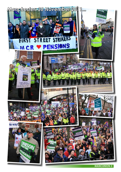

**MANCUNION 3**